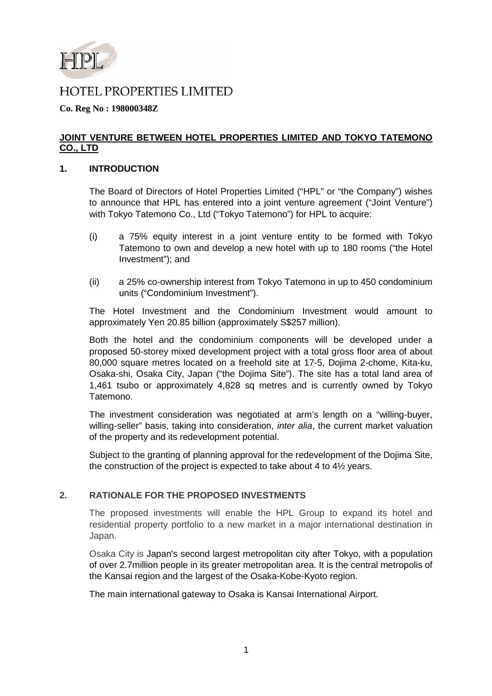

# **HOTEL PROPERTIES LIMITED**

## **Co. Reg No : 198000348Z**

## **JOINT VENTURE BETWEEN HOTEL PROPERTIES LIMITED AND TOKYO TATEMONO CO., LTD**

### **1. INTRODUCTION**

The Board of Directors of Hotel Properties Limited ("HPL" or "the Company") wishes to announce that HPL has entered into a joint venture agreement ("Joint Venture") with Tokyo Tatemono Co., Ltd ("Tokyo Tatemono") for HPL to acquire:

- (i) a 75% equity interest in a joint venture entity to be formed with Tokyo Tatemono to own and develop a new hotel with up to 180 rooms ("the Hotel Investment"); and
- (ii) a 25% co-ownership interest from Tokyo Tatemono in up to 450 condominium units ("Condominium Investment").

The Hotel Investment and the Condominium Investment would amount to approximately Yen 20.85 billion (approximately S\$257 million).

Both the hotel and the condominium components will be developed under a proposed 50-storey mixed development project with a total gross floor area of about 80,000 square metres located on a freehold site at 17-5, Dojima 2-chome, Kita-ku, Osaka-shi, Osaka City, Japan ("the Dojima Site"). The site has a total land area of 1,461 tsubo or approximately 4,828 sq metres and is currently owned by Tokyo Tatemono.

The investment consideration was negotiated at arm's length on a "willing-buyer, willing-seller" basis, taking into consideration, *inter alia*, the current market valuation of the property and its redevelopment potential.

Subject to the granting of planning approval for the redevelopment of the Dojima Site, the construction of the project is expected to take about 4 to 4½ years.

## **2. RATIONALE FOR THE PROPOSED INVESTMENTS**

The proposed investments will enable the HPL Group to expand its hotel and residential property portfolio to a new market in a major international destination in Japan.

Osaka City is Japan's second largest metropolitan city after Tokyo, with a population of over 2.7million people in its greater metropolitan area. It is the central metropolis of the Kansai region and the largest of the Osaka-Kobe-Kyoto region.

The main international gateway to Osaka is Kansai International Airport.